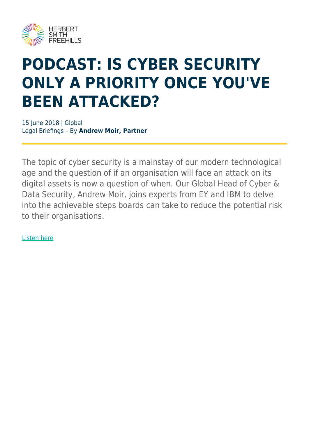

## **PODCAST: IS CYBER SECURITY ONLY A PRIORITY ONCE YOU'VE BEEN ATTACKED?**

15 June 2018 | Global Legal Briefings – By **Andrew Moir, Partner**

The topic of cyber security is a mainstay of our modern technological age and the question of if an organisation will face an attack on its digital assets is now a question of when. Our Global Head of Cyber & Data Security, Andrew Moir, joins experts from EY and IBM to delve into the achievable steps boards can take to reduce the potential risk to their organisations.

[Listen here](https://eycbm.podbean.com/e/is-cyber-security-only-a-priority-once-youve-been-attacked/)